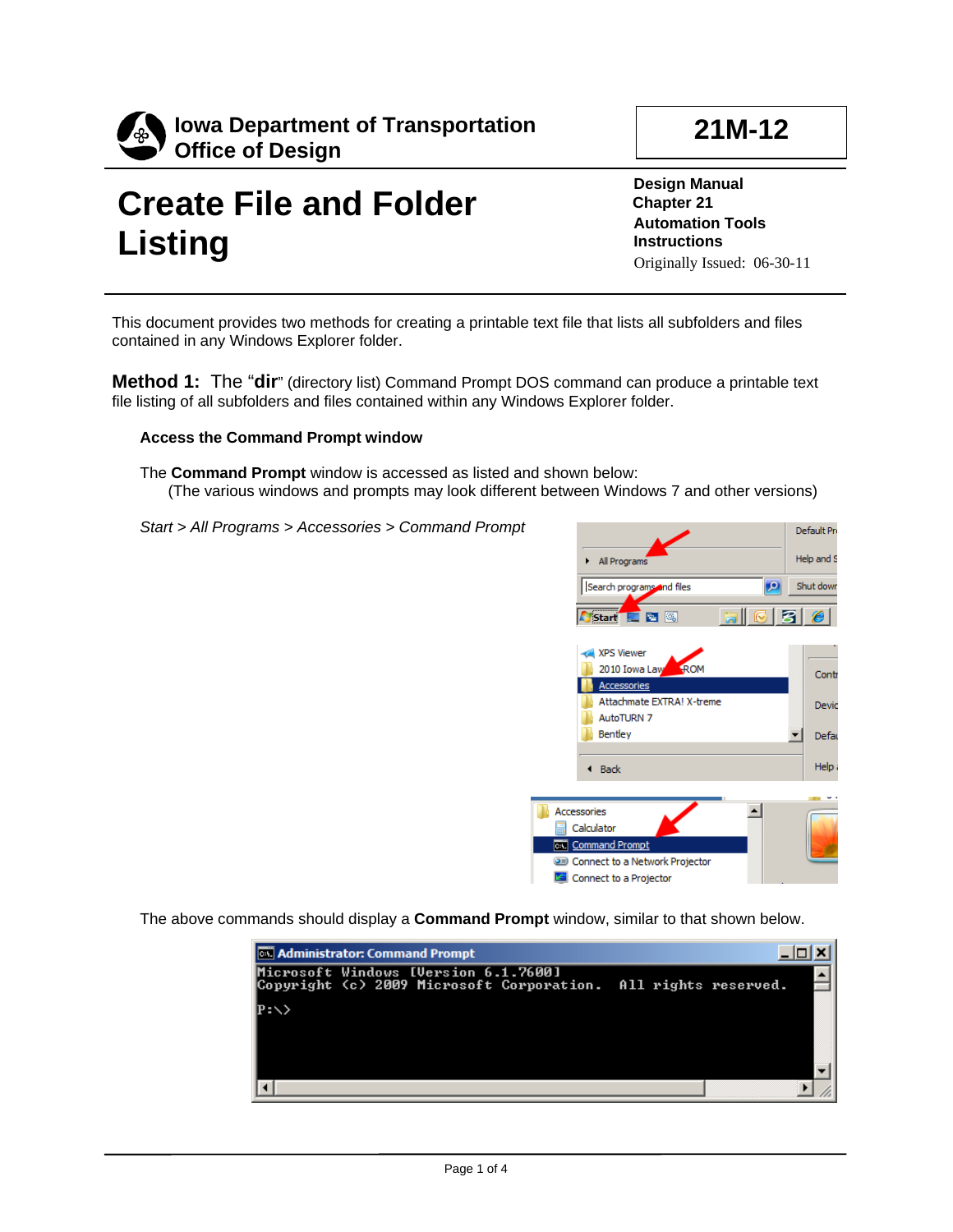

## **Create File and Folder Listing**

**Design Manual Chapter 21 Automation Tools Instructions** Originally Issued: 06-30-11

This document provides two methods for creating a printable text file that lists all subfolders and files contained in any Windows Explorer folder.

**Method 1:** The "**dir**" (directory list) Command Prompt DOS command can produce a printable text file listing of all subfolders and files contained within any Windows Explorer folder.

## **Access the Command Prompt window**

The **Command Prompt** window is accessed as listed and shown below: (The various windows and prompts may look different between Windows 7 and other versions)

*Start > All Programs > Accessories > Command Prompt*



The above commands should display a **Command Prompt** window, similar to that shown below.

| <b>EX Administrator: Command Prompt</b> |                                                                                                        |  |  |  |  |  |
|-----------------------------------------|--------------------------------------------------------------------------------------------------------|--|--|--|--|--|
|                                         | Microsoft Windows [Version 6.1.7600]<br>Copyright (c) 2009 Microsoft Corporation. All rights reserved. |  |  |  |  |  |
| IP:\>                                   |                                                                                                        |  |  |  |  |  |
|                                         |                                                                                                        |  |  |  |  |  |
|                                         |                                                                                                        |  |  |  |  |  |
|                                         |                                                                                                        |  |  |  |  |  |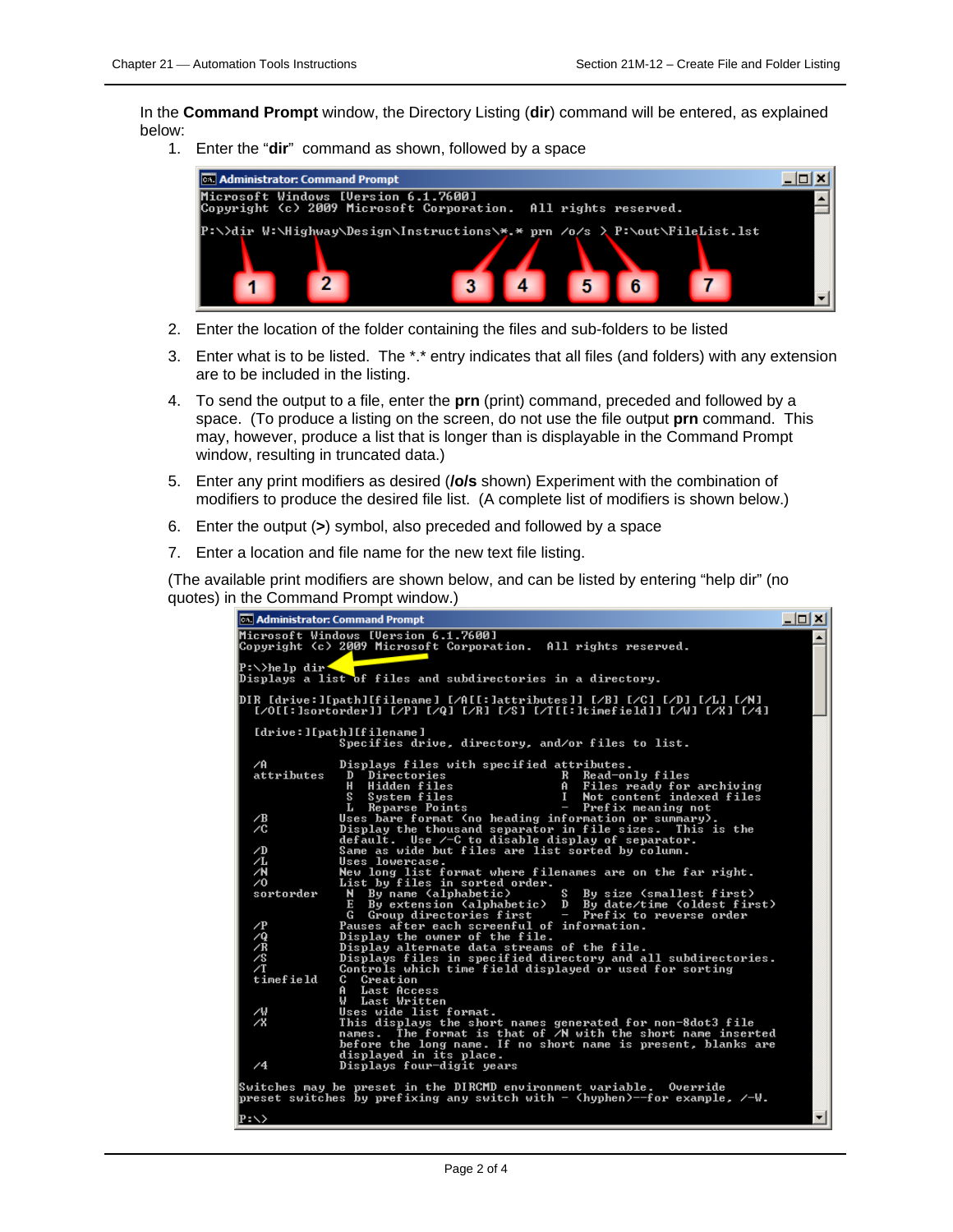In the **Command Prompt** window, the Directory Listing (**dir**) command will be entered, as explained below:

1. Enter the "**dir**"command as shown, followed by a space



- 2. Enter the location of the folder containing the files and sub-folders to be listed
- 3. Enter what is to be listed. The \*.\* entry indicates that all files (and folders) with any extension are to be included in the listing.
- 4. To send the output to a file, enter the **prn** (print) command, preceded and followed by a space. (To produce a listing on the screen, do not use the file output **prn** command. This may, however, produce a list that is longer than is displayable in the Command Prompt window, resulting in truncated data.)
- 5. Enter any print modifiers as desired (**/o/s** shown) Experiment with the combination of modifiers to produce the desired file list. (A complete list of modifiers is shown below.)
- 6. Enter the output (**>**) symbol, also preceded and followed by a space
- 7. Enter a location and file name for the new text file listing.

(The available print modifiers are shown below, and can be listed by entering "help dir" (no quotes) in the Command Prompt window.)

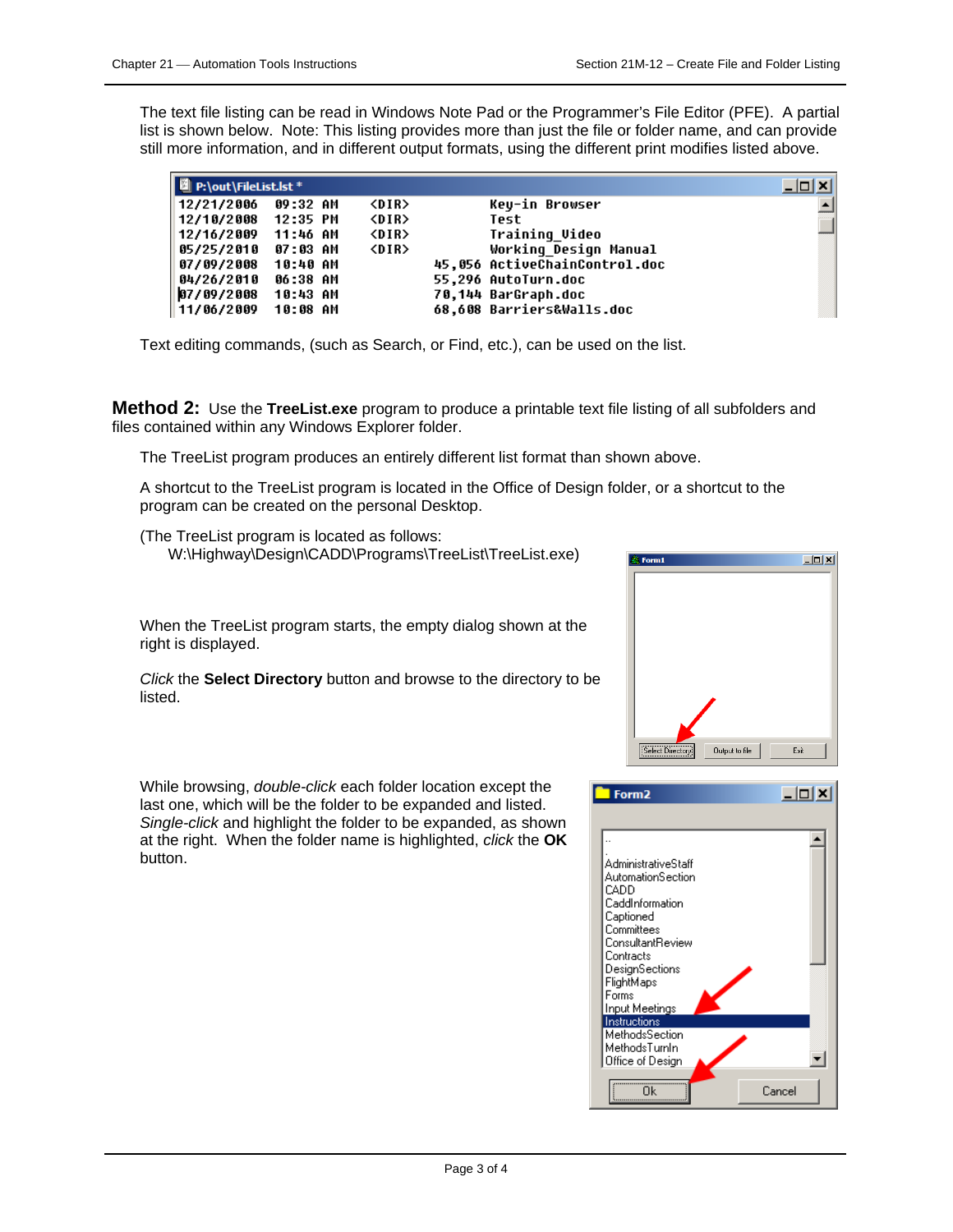right is displayed.

listed.

The text file listing can be read in Windows Note Pad or the Programmer's File Editor (PFE). A partial list is shown below. Note: This listing provides more than just the file or folder name, and can provide still more information, and in different output formats, using the different print modifies listed above.

| P:\out\FileList.lst * |          |             |                               | $ \Box$ $\times$ |
|-----------------------|----------|-------------|-------------------------------|------------------|
| 12/21/2006            | 09:32 AM | <dir></dir> | Keu-in Browser                |                  |
| 12/10/2008 12:35 PM   |          | <dir></dir> | Test                          |                  |
| 12/16/2009 11:46 AM   |          | <dir></dir> | Training Video                |                  |
| 05/25/2010            | 07:03 AM | <dir></dir> | Working Design Manual         |                  |
| 07/09/2008            | 10:40 AM |             | 45,056 ActiveChainControl.doc |                  |
| 04/26/2010            | 06:38 AM |             | 55.296 AutoTurn.doc           |                  |
| 07/09/2008            | 10:43 AM |             | 70,144 BarGraph.doc           |                  |
| 11/06/2009            | 10:08 AM |             | 68,608 Barriers&Walls.doc     |                  |

Text editing commands, (such as Search, or Find, etc.), can be used on the list.

**Method 2:** Use the **TreeList.exe** program to produce a printable text file listing of all subfolders and files contained within any Windows Explorer folder.

The TreeList program produces an entirely different list format than shown above.

A shortcut to the TreeList program is located in the Office of Design folder, or a shortcut to the program can be created on the personal Desktop.

(The TreeList program is located as follows: W:\Highway\Design\CADD\Programs\TreeList\TreeList.exe)

When the TreeList program starts, the empty dialog shown at the

*Click* the **Select Directory** button and browse to the directory to be

 $\Box$ Select Di Output to file Exit



While browsing, *double-click* each folder location except the last one, which will be the folder to be expanded and listed. *Single-click* and highlight the folder to be expanded, as shown at the right. When the folder name is highlighted, *click* the **OK**  button.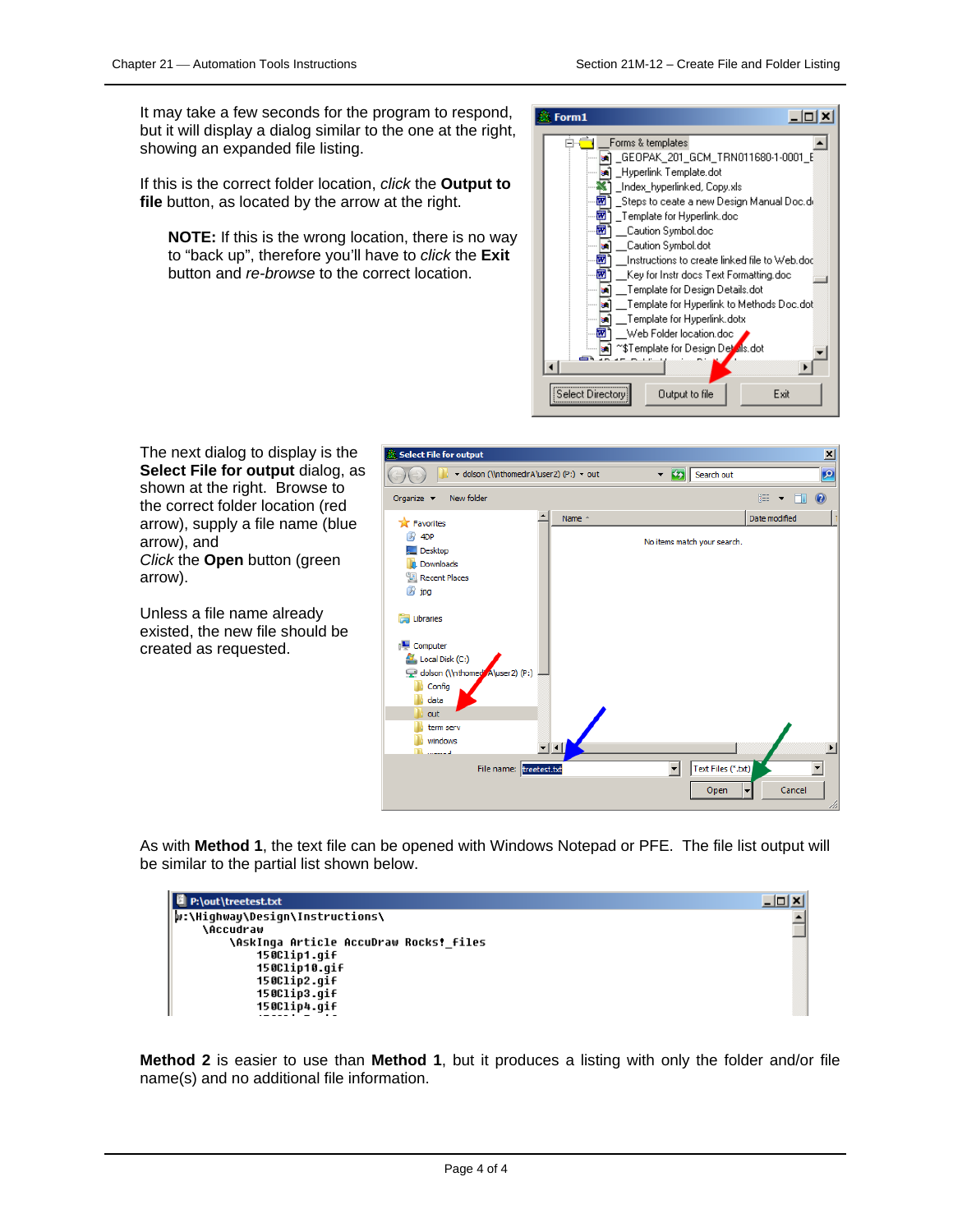It may take a few seconds for the program to respond, but it will display a dialog similar to the one at the right, showing an expanded file listing.

If this is the correct folder location, *click* the **Output to file** button, as located by the arrow at the right.

**NOTE:** If this is the wrong location, there is no way to "back up", therefore you'll have to *click* the **Exit**  button and *re-browse* to the correct location.



The next dialog to display is the **Select File for output** dialog, as shown at the right. Browse to the correct folder location (red arrow), supply a file name (blue arrow), and *Click* the **Open** button (green arrow).

Unless a file name already existed, the new file should be created as requested.



As with **Method 1**, the text file can be opened with Windows Notepad or PFE. The file list output will be similar to the partial list shown below.

| P:\out\treetest.txt                    | 10 X I |
|----------------------------------------|--------|
| w:\Hiqhway\Desiqn\Instructions\        |        |
| <b>\Accudraw</b>                       |        |
| \AskInga Article AccuDraw Rocks! files |        |
| 150Clip1.qif                           |        |
| 150Clip10.qif                          |        |
| 150Clip2.qif                           |        |
| 150Clip3.qif                           |        |
| 150Clip4.qif                           |        |
|                                        |        |

**Method 2** is easier to use than **Method 1**, but it produces a listing with only the folder and/or file name(s) and no additional file information.